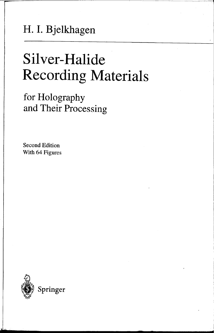## **H. I. B jelkhagen**

# **Silver-Halide Recording Materials**

--------------- ----.-------~-,-..

i ....

**for Holography and Their Processing** 

Second Edition With 64 Figures

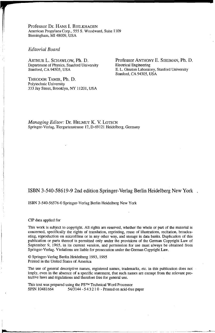Professor Dr. HANS I. BJELKHAGEN American Propylaea Corp., 555 S. Woodward, Suite 1109 Birmingham, MI 48009, USA

#### *Editorial Board*

ARTHUR L. SCHAWLOW, Ph. D. Department of Physics, Stanford University Stanford, CA 94305, USA

THEODOR TAMIR, Ph. D. Polytechnic University 333 Jay Street, Brooklyn, NY 11201, USA Professor ANTHONY E. SIEGMAN, Ph. D. Electrical Engineering E. L. Ginzton Laboratory, Stanford University Stanford, CA 94305, USA

*Managing Editor:* Dr. HELMUT K. V. LOTSCI-I Springer-Verlag, Tiergartenstrasse 17, D-69121 Heidelberg, Germany

#### **ISBN** 3-540-58619-9 2nd edition Springer-Verlag Berlin Heidelberg New York

#### ISBN 3-540-56576-0 Springer-Verlag Berlin Heidelberg New York

#### CIP data applied for

I ~

This work is subject to copyright. All rights are reserved, whether the whole or part of the material is concerned, specifically the rights of translation, reprinting, reuse of illustrations, recitation, broadcasting, reproduction on microfilms or in any other way, and storage in data banks. Duplication of this publication or parts thereof is permitted only under the provisions of the German Copyright Law of September 9, 1965, in its current version, and permission for use must always be obtained from Springer-VerJag. Violations are liable for prosecution under the German Copyright Law.

© Springer-Verlag Berlin Heidelberg 1993, 1995 Printed in the United States of America

The use of general descriptive names, registered names, trademarks, etc. in this publication does not imply, even in the absence of a specific statement, that such names are exempt from the relevant protective laws and regulations and therefore free for general use.

This text was prepared using the PSTM Technical Word Processor<br>SPIN 10481664 54/3144 - 543210 - Printed on acid-fre 54/3144 - 5 4 3 2 1 0 - Printed on acid-free paper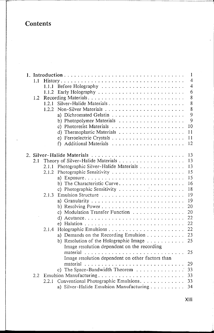### **Contents**

|     |       | 1                                                                   |
|-----|-------|---------------------------------------------------------------------|
| 1.1 |       | 4                                                                   |
|     | 1.1.1 | 4                                                                   |
|     | 1.1.2 | 6                                                                   |
| 1.2 |       | 8                                                                   |
|     | 1.2.1 | 8                                                                   |
|     | 1.2.2 | 8                                                                   |
|     |       | 9                                                                   |
|     |       | 9                                                                   |
|     |       | 10                                                                  |
|     |       | 11                                                                  |
|     |       | 11                                                                  |
|     |       | 12                                                                  |
|     |       |                                                                     |
|     |       | 13                                                                  |
| 2.1 |       | 13                                                                  |
|     | 2.1.1 | 13<br>Photographic Silver-Halide Materials                          |
|     | 2.1.2 | 15                                                                  |
|     |       | 15                                                                  |
|     |       | 16<br>b) The Characteristic Curve                                   |
|     |       | 18                                                                  |
|     | 2.1.3 | 19                                                                  |
|     |       | 19                                                                  |
|     |       | 20                                                                  |
|     |       | 20<br>c) Modulation Transfer Function $\ldots \ldots \ldots \ldots$ |
|     |       | 22                                                                  |
|     |       | 22                                                                  |
|     | 2.1.4 | 22                                                                  |
|     |       | 23                                                                  |
|     |       | 25<br>b) Resolution of the Holographic Image $\ldots$               |
|     |       | Image resolution dependent on the recording                         |
|     |       | 25                                                                  |
|     |       | Image resolution dependent on other factors than                    |
|     |       | 29                                                                  |
|     |       | c) The Space-Bandwidth Theorem<br>33                                |
| 2.2 |       | Emulsion Manufacturing<br>33                                        |
|     | 2.2.1 | Conventional Photographic Emulsions.<br>33                          |
|     |       | a) Silver-Halide Emulsion Manufacturing<br>34                       |
|     |       |                                                                     |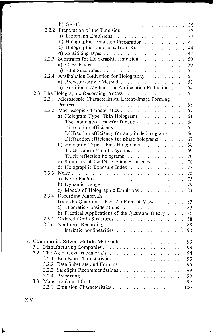|     |       |                                                   | 36       |
|-----|-------|---------------------------------------------------|----------|
|     | 2.2.2 | Preparation of the Emulsion                       | 37<br>37 |
|     |       | b) Holographic-Emulsion Preparation               | 41       |
|     |       | c) Holographic Emulsions from Russia              | 44       |
|     |       |                                                   | 47       |
|     | 2.2.3 | Substrates for Holographic Emulsion               | 50       |
|     |       |                                                   | 50       |
|     |       |                                                   | 51       |
|     | 2.2.4 | Antihalation Reduction for Holography             | 53       |
|     |       | a) Brewster-Angle Method                          | 53       |
|     |       | b) Additional Methods for Antihalation Reduction  | 54       |
| 2.3 |       |                                                   | 55       |
|     | 2.3.I | Microscopic Characteristics. Latent-Image Forming |          |
|     |       |                                                   | 55       |
|     | 2.3.2 |                                                   | 57       |
|     |       | a) Hologram Type: Thin Holograms                  | 61       |
|     |       | The modulation transfer function                  | 64       |
|     |       | Diffraction efficiency for amplitude holograms    | 65<br>66 |
|     |       | Diffraction efficiency for phase holograms        | 67       |
|     |       | b) Hologram Type: Thick Holograms                 | 68       |
|     |       | Thick transmission holograms                      | 69       |
|     |       | Thick reflection holograms                        | 70       |
|     |       | c) Summary of the Diffraction Efficiency          | 70       |
|     |       | d) Holographic Exposure Index                     | 73       |
|     | 2.3.3 |                                                   | 75       |
|     |       |                                                   | 75       |
|     |       |                                                   | 79       |
|     |       | c) Models of Holographic Emulsions                | 81       |
|     | 2.3.4 | Recording Materials                               |          |
|     |       | from the Quantum-Theoretic Point of View          | 83       |
|     |       |                                                   | 83       |
|     |       | b) Practical Applications of the Quantum Theory   | 86       |
|     | 2.3.5 |                                                   | 88       |
|     | 2.3.6 |                                                   | 88       |
|     |       | Intrinsic nonlinearities                          | 90       |
|     |       | 3. Commercial Silver-Halide Materials             | 93       |
| 3.1 |       |                                                   | 93       |
| 3.2 |       |                                                   | 94       |
|     |       |                                                   | 95       |
|     | 3.2.2 |                                                   | 96       |
|     | 3.2.3 |                                                   | 99       |
|     |       |                                                   | 99       |
| 3.3 |       |                                                   | 99       |
|     |       |                                                   | 100      |
|     |       |                                                   |          |

I......

XIV

 $\mathsf{L}$  .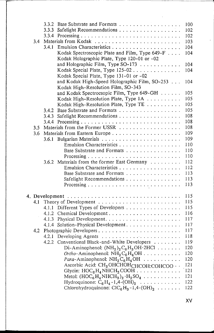|     | 3.3.2 |                                                                                                 | 100 |
|-----|-------|-------------------------------------------------------------------------------------------------|-----|
|     | 3.3.3 | Safelight Recommendations                                                                       | 102 |
|     | 3.3.4 |                                                                                                 | 102 |
| 3.4 |       |                                                                                                 | 103 |
|     | 3.4.1 |                                                                                                 | 104 |
|     |       | Kodak Spectroscopic Plate and Film, Type 649-F                                                  | 104 |
|     |       | Kodak Holographic Plate, Type 120-01 or -02                                                     |     |
|     |       | and Holographic Film, Type SO-173                                                               | 104 |
|     |       | Kodak Special Plate, Type 125-02                                                                | 104 |
|     |       | Kodak Special Plate, Type 131-01 or -02                                                         |     |
|     |       | and Kodak High-Speed Holographic Film, SO-253                                                   | 104 |
|     |       | Kodak High-Resolution Film, SO-343                                                              |     |
|     |       | and Kodak Spectrocsopic Film, Type 649-GH                                                       | 105 |
|     |       | Kodak High-Resolution Plate, Type 1A                                                            | 105 |
|     |       | Kodak High-Resolution Plate, Type TE                                                            | 105 |
|     | 3.4.2 | Base Substrate and Formats                                                                      | 105 |
|     |       | Safelight Recommendations                                                                       | 108 |
|     | 3.4.3 |                                                                                                 | 108 |
|     |       |                                                                                                 |     |
| 3.5 |       |                                                                                                 | 108 |
| 3.6 |       |                                                                                                 | 109 |
|     | 3.6.1 |                                                                                                 | 109 |
|     |       | Emulsion Characteristics                                                                        | 110 |
|     |       | Base Substrate and Formats                                                                      | 110 |
|     |       |                                                                                                 | 110 |
|     |       | 3.6.2 Materials from the former East Germany                                                    | 112 |
|     |       | Emulsion Characteristics                                                                        | 112 |
|     |       | Base Substrate and Formats                                                                      | 113 |
|     |       | Safelight Recommendations                                                                       | 113 |
|     |       |                                                                                                 | 113 |
|     |       | 4. Development                                                                                  | 115 |
| 4.1 |       |                                                                                                 | 115 |
|     | 4.1.1 | Different Types of Developers                                                                   | 115 |
|     |       |                                                                                                 | 116 |
|     | 4.1.3 |                                                                                                 | 117 |
|     | 4.1.4 | Solution-Physical Development.                                                                  | 117 |
| 4.2 |       | Photographic Developers                                                                         | 117 |
|     |       |                                                                                                 | 118 |
|     |       | 4.2.2 Conventional Black-and-White Developers                                                   | 119 |
|     |       |                                                                                                 | 120 |
|     |       | Di-Aminophenol: $(NH_2)_2C_6H_3OH\cdot 2HCl$                                                    |     |
|     |       | <i>Ortho-Aminophenol:</i> $NH_2C_6H_4OH \ldots \ldots \ldots$                                   | 120 |
|     |       | Para-Aminophenol: $NH_2C_6H_4OH \ldots \ldots$                                                  | 120 |
|     |       | Ascorbic Acid: CH2OHCHOHCHCOH:COHCOO · ·                                                        | 121 |
|     |       | Glycin: $\text{HOC}_6\text{H}_4\text{NHCH}_2\text{COOH}$                                        | 121 |
|     |       | Metol: $(HOC_6H_4NHCH_3)_2 \cdot H_2SO_4 \cdot \cdot \cdot \cdot \cdot \cdot \cdot \cdot \cdot$ | 121 |
|     |       | Hydroquinone: $C_6H_4-1,4-(OH)_2$                                                               | 122 |
|     |       | Chlorohydroquinone: $ClC_6H_3-1,4-(OH)_2$                                                       | 122 |

xv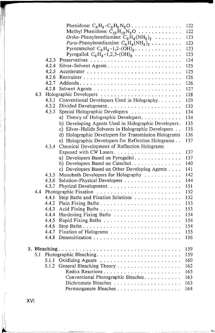|     |       | Phenidone: $C_6H_5-C_3H_5N_2O \ldots \ldots \ldots \ldots$    | 122 |
|-----|-------|---------------------------------------------------------------|-----|
|     |       | Methyl Phenidone: $C_{10}H_{12}N_2O \ldots \ldots \ldots$     | 122 |
|     |       | Ortho-Phenylenediamine: $C_6H_4(NH_2)_2$                      | 123 |
|     |       | <i>Para</i> -Phenylenediamine: $C_6H_4(NH_2)_2 \ldots \ldots$ | 123 |
|     |       | Pyrocatechol: $C_6H_4 - 1,2-(OH)_2$                           | 123 |
|     |       | Pyrogallol: $C_6H_3 - 1,2,3-(OH)_3$                           | 123 |
|     | 4.2.3 |                                                               | 124 |
|     | 4.2.4 |                                                               | 125 |
|     | 4.2.5 |                                                               | 125 |
|     | 4.2.6 |                                                               | 126 |
|     | 4.2.7 |                                                               | 126 |
|     | 4.2.8 |                                                               | 127 |
| 4.3 |       |                                                               | 128 |
|     | 4.3.1 | Conventional Developers Used in Holography.                   | 129 |
|     | 4.3.2 |                                                               | 133 |
|     | 4.3.3 | Special Holographic Developers                                | 134 |
|     |       | a) Theory of Holographic Developers                           | 134 |
|     |       | b) Developing Agents Used in Holographic Developers.          | 135 |
|     |       | c) Silver-Halide Solvents in Holographic Developers           | 135 |
|     |       | d) Holographic Developers for Transmission Holograms          | 136 |
|     |       | e) Holographic Developers for Reflection Holograms            | 137 |
|     | 4.3.4 | Chemical Development of Reflection Holograms                  |     |
|     |       |                                                               | 137 |
|     |       | a) Developers Based on Pyrogallol                             | 137 |
|     |       | b) Developers Based on Catechol.                              | 140 |
|     |       | c) Developers Based on Other Developing Agents                | 141 |
|     | 4.3.5 | Monobath Developers for Holography                            | 142 |
|     | 4.3.6 | Solution-Physical Developers                                  | 144 |
|     | 4.3.7 |                                                               | 151 |
| 4.4 |       |                                                               | 152 |
|     | 4.4.1 | Stop Baths and Fixation Solutions                             | 152 |
|     | 4.4.2 |                                                               | 153 |
|     | 4.4.3 |                                                               | 153 |
|     | 4.4.4 |                                                               | 154 |
|     | 4.4.5 |                                                               | 154 |
|     | 4.4.6 |                                                               | 154 |
|     | 4.4.7 |                                                               | 155 |
|     | 4.4.8 |                                                               | 156 |
|     |       |                                                               |     |
|     |       |                                                               | 159 |
| 5.1 |       |                                                               | 159 |
|     |       |                                                               | 160 |
|     |       |                                                               | 162 |
|     |       |                                                               | 163 |
|     |       | Conventional Photographic Bleaches.                           | 163 |
|     |       |                                                               | 163 |
|     |       |                                                               | 164 |

L-- '-

XVI

l I i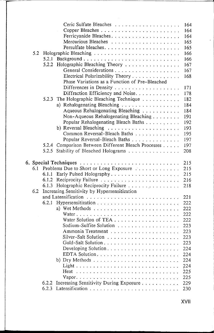|     |       |                                                | 164        |
|-----|-------|------------------------------------------------|------------|
|     |       |                                                | 164        |
|     |       |                                                | 164        |
|     |       |                                                | 165        |
|     |       |                                                | 165        |
| 5.2 |       |                                                | 166        |
|     | 5.2.1 |                                                | 166        |
|     |       | 5.2.2 Holographic Bleaching Theory             | 167        |
|     |       |                                                | 167        |
|     |       | Electrical Polarizability Theory               | 168        |
|     |       | Phase Variations as a Function of Pre-Bleached |            |
|     |       | Differences in Density                         | 171        |
|     |       | Diffraction Efficiency and Noise.              | 178        |
|     |       |                                                |            |
|     | 5.2.3 | The Holographic Bleaching Technique            | 182        |
|     |       | a) Rehalogenating Bleaching                    | 184        |
|     |       | Aqueous Rehalogenating Bleaching               | 184        |
|     |       | Non-Aqueous Rehalogenating Bleaching           | 191        |
|     |       | Popular Rehalogenating Bleach Baths            | 192        |
|     |       |                                                | 193        |
|     |       | Common Reversal-Bleach Baths                   | 195        |
|     |       | Popular Reversal-Bleach Baths                  | 197        |
|     | 5.2.4 | Comparison Between Different Bleach Processes  | 197        |
|     | 5.2.5 | Stability of Bleached Holograms                | 208        |
|     |       |                                                | 215        |
| 6.1 |       | Problems Due to Short or Long Exposure         | 215        |
|     | 6.1.1 |                                                | 215        |
|     | 6.1.2 |                                                | 216        |
|     | 6.1.3 | Holographic Reciprocity Failure                | 218        |
| 6.2 |       | Increasing Sensitivity by Hypersensitization   |            |
|     |       |                                                | 221        |
|     | 6.2.1 |                                                | 222        |
|     |       |                                                |            |
|     |       |                                                | 222        |
|     |       |                                                | 222        |
|     |       |                                                | 222        |
|     |       | Sodium-Sulfite Solution                        | 223        |
|     |       |                                                | 223        |
|     |       |                                                | 223        |
|     |       |                                                | 223        |
|     |       |                                                | 224        |
|     |       |                                                | 224        |
|     |       |                                                | 224        |
|     |       |                                                | 224        |
|     |       | Heat                                           | 225        |
|     |       |                                                |            |
|     |       |                                                |            |
|     | 6.2.2 |                                                | 225        |
|     | 6.2.3 | Increasing Sensitivity During Exposure         | 229<br>230 |

XVII

l,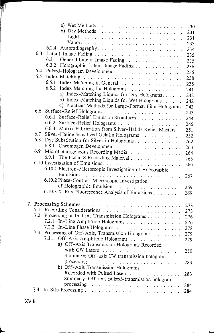|     |                                                                          | 230 |
|-----|--------------------------------------------------------------------------|-----|
|     | b) Dry Methods $\ldots \ldots \ldots \ldots \ldots \ldots \ldots \ldots$ | 231 |
|     |                                                                          | 231 |
|     |                                                                          | 233 |
|     | 6.2.4 Autoradiography                                                    | 234 |
| 6.3 |                                                                          | 235 |
|     | 6.3.1 General Latent-Image Fading.                                       | 235 |
|     | 6.3.2 Holographic Latent-Image Fading                                    | 236 |
| 6.4 |                                                                          | 236 |
| 6.5 |                                                                          | 238 |
|     | 6.5.1<br>Index Matching in General                                       | 238 |
|     | 6.5.2<br>Index Matching for Holograms                                    | 241 |
|     | a) Index-Matching Liquids for Dry Holograms.                             | 242 |
|     | b) Index-Matching Liquids for Wet Holograms.                             | 242 |
|     | c) Practical Methods for Large-Format Film Holograms                     | 243 |
| 6.6 |                                                                          | 243 |
|     | 6.6.1<br>Surface-Relief Emulsion Structures                              | 244 |
|     |                                                                          | 245 |
|     | 6.6.3 Matrix Fabrication from Silver-Halide Relief Masters.              | 251 |
| 6.7 | Silver-Halide Sensitized Gelatin Holograms                               | 252 |
| 6.8 | Dye Substitution for Silver in Holograms.                                | 262 |
|     |                                                                          | 263 |
| 6.9 | Microheterogeneous Recording Media                                       | 264 |
|     | 6.9.1<br>The Focar-S Recording Material                                  | 265 |
|     | 6.10 Investigation of Emulsions                                          | 266 |
|     | 6.10.1 Electron-Microscopic Investigation of Holographic                 |     |
|     |                                                                          | 267 |
|     | 6.10.2 Phase-Contrast Microscopic Investigation                          |     |
|     |                                                                          | 269 |
|     | 6.10.3 X-Ray Fluorescence Analysis of Emulsions                          | 269 |
|     |                                                                          |     |
|     |                                                                          | 273 |
| 7.1 |                                                                          | 273 |
| 7.2 | Processing of In-Line Transmission Holograms                             | 276 |
|     | 7.2.1 In-Line Amplitude Holograms                                        | 276 |
|     |                                                                          | 278 |
| 7.3 | Processing of Off-Axis, Transmission Holograms                           | 279 |
|     | 7.3.1<br>Off-Axis Amplitude Holograms                                    | 279 |
|     | a) Off-Axis Transmission Holograms Recorded                              |     |
|     |                                                                          | 280 |
|     | Summary: Off-axis CW transmission hologram                               |     |
|     |                                                                          | 283 |
|     | b) Off-Axis Transmission Holograms                                       |     |
|     | Recorded with Pulsed Lasers                                              | 283 |
|     | Summary: Off-axis pulsed-transmission hologram                           |     |
|     |                                                                          | 284 |
| 7.4 |                                                                          | 284 |
|     |                                                                          |     |

~

**XVIII** 

l

Ilil 1,1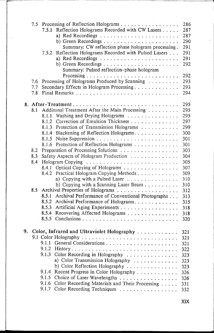|    | 7.5<br>7.6<br>7.7<br>7.8        | 7.5.1<br>7.5.2                                              | Processing of Reflection Holograms<br>Reflection Holograms Recorded with CW Lasers<br>Summary: CW reflection phase hologram processing.<br>Reflection Holograms Recorded with Pulsed Lasers<br>Summary: Pulsed reflection-phase hologram<br>Processing of Holograms Produced by Scanning<br>Secondary Effects in Hologram Processing                                                                                                                                                                                                                                                                                                                                                   | 286<br>287<br>287<br>290<br>291<br>291<br>291<br>292<br>292<br>293<br>293<br>294                                                                |
|----|---------------------------------|-------------------------------------------------------------|----------------------------------------------------------------------------------------------------------------------------------------------------------------------------------------------------------------------------------------------------------------------------------------------------------------------------------------------------------------------------------------------------------------------------------------------------------------------------------------------------------------------------------------------------------------------------------------------------------------------------------------------------------------------------------------|-------------------------------------------------------------------------------------------------------------------------------------------------|
|    |                                 |                                                             |                                                                                                                                                                                                                                                                                                                                                                                                                                                                                                                                                                                                                                                                                        |                                                                                                                                                 |
|    | 8.1<br>8.2<br>8.3<br>8.4<br>8.5 | 8.1.1<br>8.4.1<br>8.4.2<br>8.5.1<br>8.5.3<br>8.5.4<br>8.5.5 | 8. After-Treatment<br>Additonal Treatment After the Main Processing<br>Washing and Drying Holograms<br>8.1.2 Correction of Emulsion Thickness<br>8.1.3 Protection of Transmission Holograms<br>8.1.4 Blackening of Reflection Holograms.<br>8.1.6 Protection of Reflection Holograms<br>Preparation of Processing Solutions<br>Safety Aspects of Hologram Production<br>Optical Copying of Holograms<br>Practical Hologram Copying Methods<br>a) Copying with a Pulsed Laser<br>b) Copying with a Scanning Laser Beam<br>Archival Performance of Conventional Photographs<br>8.5.2 Archival Performance of Holograms.<br>Artificial Aging Experiments<br>Recovering Affected Holograms | 295<br>295<br>295<br>297<br>299<br>300<br>301<br>301<br>303<br>304<br>305<br>307<br>309<br>310<br>310<br>312<br>313<br>315<br>318<br>318<br>320 |
| 9. |                                 |                                                             | Color, Infrared and Ultraviolet Holography 321                                                                                                                                                                                                                                                                                                                                                                                                                                                                                                                                                                                                                                         |                                                                                                                                                 |
|    |                                 |                                                             |                                                                                                                                                                                                                                                                                                                                                                                                                                                                                                                                                                                                                                                                                        | 321                                                                                                                                             |
|    |                                 | 9.1.1                                                       |                                                                                                                                                                                                                                                                                                                                                                                                                                                                                                                                                                                                                                                                                        | 321                                                                                                                                             |
|    |                                 | 9.1.2<br>9.1.3                                              | Color Recording in Holography                                                                                                                                                                                                                                                                                                                                                                                                                                                                                                                                                                                                                                                          | 322<br>323                                                                                                                                      |
|    |                                 |                                                             | a) Color Transmission Holography                                                                                                                                                                                                                                                                                                                                                                                                                                                                                                                                                                                                                                                       | 323                                                                                                                                             |
|    |                                 |                                                             | b) Color Reflection Holography                                                                                                                                                                                                                                                                                                                                                                                                                                                                                                                                                                                                                                                         | 323                                                                                                                                             |
|    |                                 | 9.1.4                                                       | Recent Progress in Color Holography                                                                                                                                                                                                                                                                                                                                                                                                                                                                                                                                                                                                                                                    | 326                                                                                                                                             |
|    |                                 | 9.1.5                                                       | Choice of Laser Wavelengths                                                                                                                                                                                                                                                                                                                                                                                                                                                                                                                                                                                                                                                            | 326                                                                                                                                             |
|    |                                 | 9.1.6<br>9.1.7                                              | Color Recording Materials and Their Processing<br>Color Recording Techniques                                                                                                                                                                                                                                                                                                                                                                                                                                                                                                                                                                                                           | 331                                                                                                                                             |
|    |                                 |                                                             |                                                                                                                                                                                                                                                                                                                                                                                                                                                                                                                                                                                                                                                                                        | 332                                                                                                                                             |

------ ---------- ----~~-------'I

I

I ~